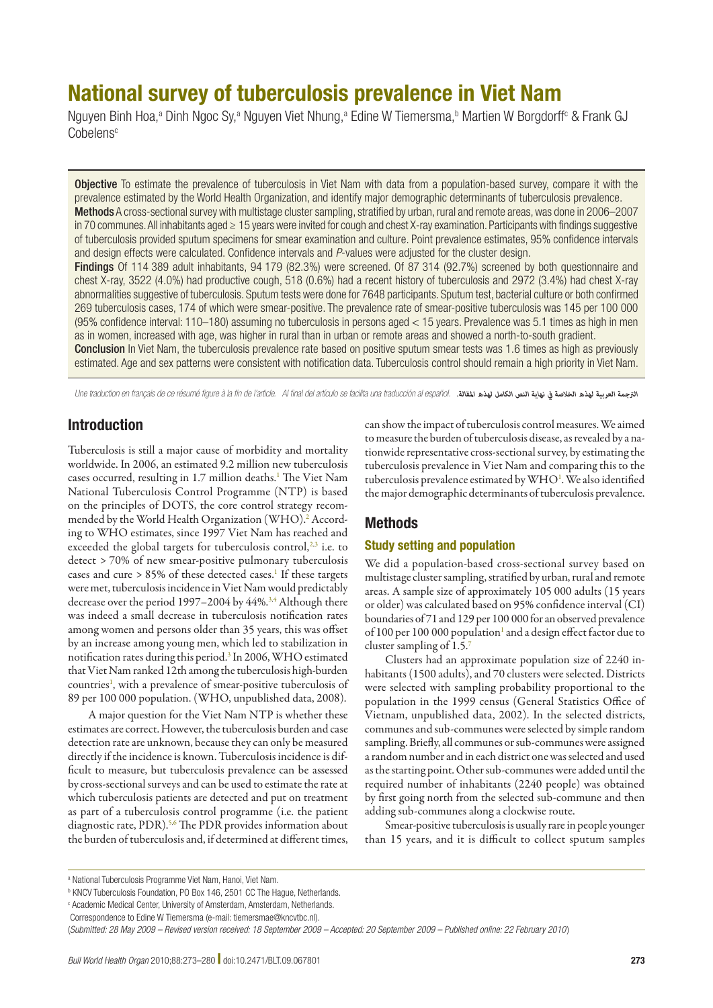# National survey of tuberculosis prevalence in Viet Nam

Nguyen Binh Hoa,<sup>a</sup> Dinh Ngoc Sy,<sup>a</sup> Nguyen Viet Nhung,<sup>a</sup> Edine W Tiemersma,<sup>b</sup> Martien W Borgdorff<sup>c</sup> & Frank GJ Cobelens<sup>c</sup>

Objective To estimate the prevalence of tuberculosis in Viet Nam with data from a population-based survey, compare it with the prevalence estimated by the World Health Organization, and identify major demographic determinants of tuberculosis prevalence. Methods A cross-sectional survey with multistage cluster sampling, stratified by urban, rural and remote areas, was done in 2006–2007 in 70 communes. All inhabitants aged ≥ 15 years were invited for cough and chest X-ray examination. Participants with findings suggestive of tuberculosis provided sputum specimens for smear examination and culture. Point prevalence estimates, 95% confidence intervals and design effects were calculated. Confidence intervals and *P*-values were adjusted for the cluster design. Findings Of 114 389 adult inhabitants, 94 179 (82.3%) were screened. Of 87 314 (92.7%) screened by both questionnaire and chest X-ray, 3522 (4.0%) had productive cough, 518 (0.6%) had a recent history of tuberculosis and 2972 (3.4%) had chest X-ray abnormalities suggestive of tuberculosis. Sputum tests were done for 7648 participants. Sputum test, bacterial culture or both confirmed 269 tuberculosis cases, 174 of which were smear-positive. The prevalence rate of smear-positive tuberculosis was 145 per 100 000 (95% confidence interval: 110–180) assuming no tuberculosis in persons aged < 15 years. Prevalence was 5.1 times as high in men as in women, increased with age, was higher in rural than in urban or remote areas and showed a north-to-south gradient. Conclusion In Viet Nam, the tuberculosis prevalence rate based on positive sputum smear tests was 1.6 times as high as previously estimated. Age and sex patterns were consistent with notification data. Tuberculosis control should remain a high priority in Viet Nam.

Une traduction en français de ce résumé figure à la fin de l'article. Al final del artículo se facilita una traducción al español. *.املقالة لهذه الكامل النص نهاية يف الخالصة لهذه العربية الرتجمة*

# Introduction

Tuberculosis is still a major cause of morbidity and mortality worldwide. In 2006, an estimated 9.2 million new tuberculosis cases occurred, resulting in 1.7 million deaths.<sup>1</sup> The Viet Nam National Tuberculosis Control Programme (NTP) is based on the principles of DOTS, the core control strategy recommended by the World Health Organization (WHO).<sup>2</sup> According to WHO estimates, since 1997 Viet Nam has reached and exceeded the global targets for tuberculosis control,<sup>2,3</sup> i.e. to detect > 70% of new smear-positive pulmonary tuberculosis cases and cure > 85% of these detected cases.<sup>1</sup> If these targets were met, tuberculosis incidence in Viet Nam would predictably decrease over the period 1997–2004 by 44%.<sup>3,4</sup> Although there was indeed a small decrease in tuberculosis notification rates among women and persons older than 35 years, this was offset by an increase among young men, which led to stabilization in notification rates during this period.<sup>3</sup> In 2006, WHO estimated that Viet Nam ranked 12th among the tuberculosis high-burden countries<sup>1</sup>, with a prevalence of smear-positive tuberculosis of 89 per 100 000 population. (WHO, unpublished data, 2008).

A major question for the Viet Nam NTP is whether these estimates are correct. However, the tuberculosis burden and case detection rate are unknown, because they can only be measured directly if the incidence is known. Tuberculosis incidence is difficult to measure, but tuberculosis prevalence can be assessed by cross-sectional surveys and can be used to estimate the rate at which tuberculosis patients are detected and put on treatment as part of a tuberculosis control programme (i.e. the patient diagnostic rate, PDR).<sup>5,6</sup> The PDR provides information about the burden of tuberculosis and, if determined at different times,

can show the impact of tuberculosis control measures. We aimed to measure the burden of tuberculosis disease, as revealed by a nationwide representative cross-sectional survey, by estimating the tuberculosis prevalence in Viet Nam and comparing this to the tuberculosis prevalence estimated by WHO<sup>1</sup>. We also identified the major demographic determinants of tuberculosis prevalence.

# Methods

#### Study setting and population

We did a population-based cross-sectional survey based on multistage cluster sampling, stratified by urban, rural and remote areas. A sample size of approximately 105 000 adults (15 years or older) was calculated based on 95% confidence interval (CI) boundaries of 71 and 129 per 100 000 for an observed prevalence of 100 per 100 000 population<sup>1</sup> and a design effect factor due to cluster sampling of 1.5.7

Clusters had an approximate population size of 2240 inhabitants (1500 adults), and 70 clusters were selected. Districts were selected with sampling probability proportional to the population in the 1999 census (General Statistics Office of Vietnam, unpublished data, 2002). In the selected districts, communes and sub-communes were selected by simple random sampling. Briefly, all communes or sub-communes were assigned a random number and in each district one was selected and used as the starting point. Other sub-communes were added until the required number of inhabitants (2240 people) was obtained by first going north from the selected sub-commune and then adding sub-communes along a clockwise route.

Smear-positive tuberculosis is usually rare in people younger than 15 years, and it is difficult to collect sputum samples

(*Submitted: 28 May 2009 – Revised version received: 18 September 2009 – Accepted: 20 September 2009 – Published online: 22 February 2010* )

a National Tuberculosis Programme Viet Nam, Hanoi, Viet Nam.

<sup>&</sup>lt;sup>b</sup> KNCV Tuberculosis Foundation, PO Box 146, 2501 CC The Hague, Netherlands.

c Academic Medical Center, University of Amsterdam, Amsterdam, Netherlands.

Correspondence to Edine W Tiemersma (e-mail: tiemersmae@kncvtbc.nl).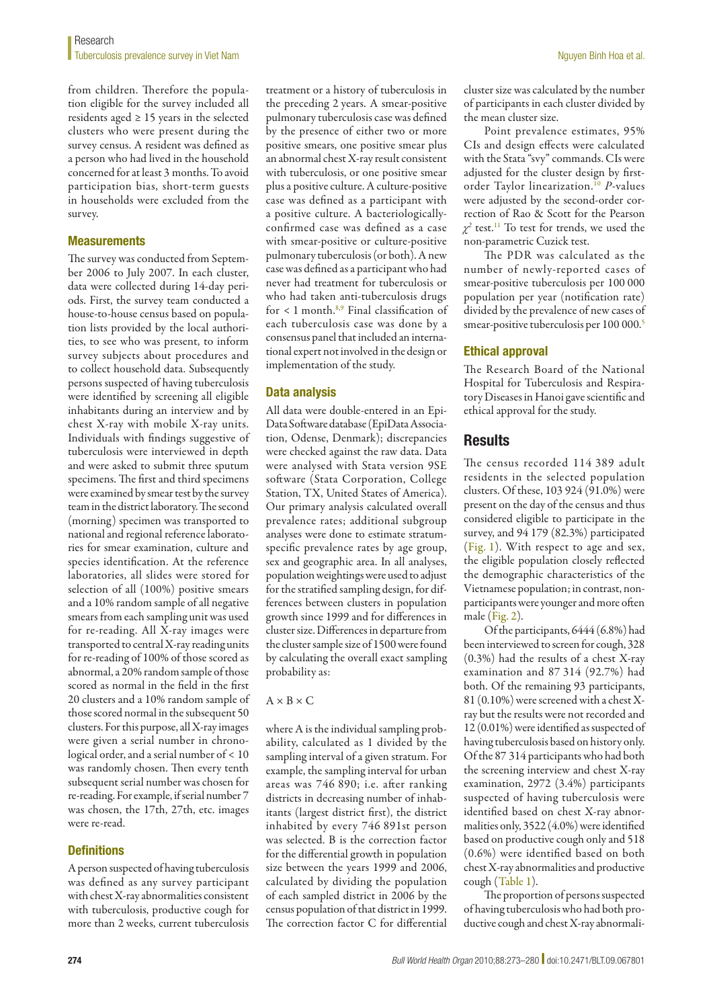from children. Therefore the population eligible for the survey included all residents aged ≥ 15 years in the selected clusters who were present during the survey census. A resident was defined as a person who had lived in the household concerned for at least 3 months. To avoid participation bias, short-term guests in households were excluded from the survey.

### **Measurements**

The survey was conducted from September 2006 to July 2007. In each cluster, data were collected during 14-day periods. First, the survey team conducted a house-to-house census based on population lists provided by the local authorities, to see who was present, to inform survey subjects about procedures and to collect household data. Subsequently persons suspected of having tuberculosis were identified by screening all eligible inhabitants during an interview and by chest X-ray with mobile X-ray units. Individuals with findings suggestive of tuberculosis were interviewed in depth and were asked to submit three sputum specimens. The first and third specimens were examined by smear test by the survey team in the district laboratory. The second (morning) specimen was transported to national and regional reference laboratories for smear examination, culture and species identification. At the reference laboratories, all slides were stored for selection of all (100%) positive smears and a 10% random sample of all negative smears from each sampling unit was used for re-reading. All X-ray images were transported to central X-ray reading units for re-reading of 100% of those scored as abnormal, a 20% random sample of those scored as normal in the field in the first 20 clusters and a 10% random sample of those scored normal in the subsequent 50 clusters. For this purpose, all X-ray images were given a serial number in chronological order, and a serial number of < 10 was randomly chosen. Then every tenth subsequent serial number was chosen for re-reading. For example, if serial number 7 was chosen, the 17th, 27th, etc. images were re-read.

## **Definitions**

A person suspected of having tuberculosis was defined as any survey participant with chest X-ray abnormalities consistent with tuberculosis, productive cough for more than 2 weeks, current tuberculosis

treatment or a history of tuberculosis in the preceding 2 years. A smear-positive pulmonary tuberculosis case was defined by the presence of either two or more positive smears, one positive smear plus an abnormal chest X-ray result consistent with tuberculosis, or one positive smear plus a positive culture. A culture-positive case was defined as a participant with a positive culture. A bacteriologicallyconfirmed case was defined as a case with smear-positive or culture-positive pulmonary tuberculosis (or both). A new case was defined as a participant who had never had treatment for tuberculosis or who had taken anti-tuberculosis drugs for  $\leq 1$  month.<sup>8,9</sup> Final classification of each tuberculosis case was done by a consensus panel that included an international expert not involved in the design or implementation of the study.

## Data analysis

All data were double-entered in an Epi-Data Software database (EpiData Association, Odense, Denmark); discrepancies were checked against the raw data. Data were analysed with Stata version 9SE software (Stata Corporation, College Station, TX, United States of America). Our primary analysis calculated overall prevalence rates; additional subgroup analyses were done to estimate stratumspecific prevalence rates by age group, sex and geographic area. In all analyses, population weightings were used to adjust for the stratified sampling design, for differences between clusters in population growth since 1999 and for differences in cluster size. Differences in departure from the cluster sample size of 1500 were found by calculating the overall exact sampling probability as:

 $A \times B \times C$ 

where A is the individual sampling probability, calculated as 1 divided by the sampling interval of a given stratum. For example, the sampling interval for urban areas was 746 890; i.e. after ranking districts in decreasing number of inhabitants (largest district first), the district inhabited by every 746 891st person was selected. B is the correction factor for the differential growth in population size between the years 1999 and 2006, calculated by dividing the population of each sampled district in 2006 by the census population of that district in 1999. The correction factor C for differential

cluster size was calculated by the number of participants in each cluster divided by the mean cluster size.

Point prevalence estimates, 95% CIs and design effects were calculated with the Stata "svy" commands. CIs were adjusted for the cluster design by firstorder Taylor linearization.10 *P*-values were adjusted by the second-order correction of Rao & Scott for the Pearson *χ2* test.11 To test for trends, we used the non-parametric Cuzick test.

The PDR was calculated as the number of newly-reported cases of smear-positive tuberculosis per 100 000 population per year (notification rate) divided by the prevalence of new cases of smear-positive tuberculosis per 100 000.<sup>5</sup>

## Ethical approval

The Research Board of the National Hospital for Tuberculosis and Respiratory Diseases in Hanoi gave scientific and ethical approval for the study.

# **Results**

The census recorded 114 389 adult residents in the selected population clusters. Of these, 103 924 (91.0%) were present on the day of the census and thus considered eligible to participate in the survey, and 94 179 (82.3%) participated (Fig. 1). With respect to age and sex, the eligible population closely reflected the demographic characteristics of the Vietnamese population; in contrast, nonparticipants were younger and more often male (Fig. 2).

Of the participants, 6444 (6.8%) had been interviewed to screen for cough, 328 (0.3%) had the results of a chest X-ray examination and 87 314 (92.7%) had both. Of the remaining 93 participants, 81 (0.10%) were screened with a chest Xray but the results were not recorded and 12 (0.01%) were identified as suspected of having tuberculosis based on history only. Of the 87 314 participants who had both the screening interview and chest X-ray examination, 2972 (3.4%) participants suspected of having tuberculosis were identified based on chest X-ray abnormalities only, 3522 (4.0%) were identified based on productive cough only and 518 (0.6%) were identified based on both chest X-ray abnormalities and productive cough (Table 1).

The proportion of persons suspected of having tuberculosis who had both productive cough and chest X-ray abnormali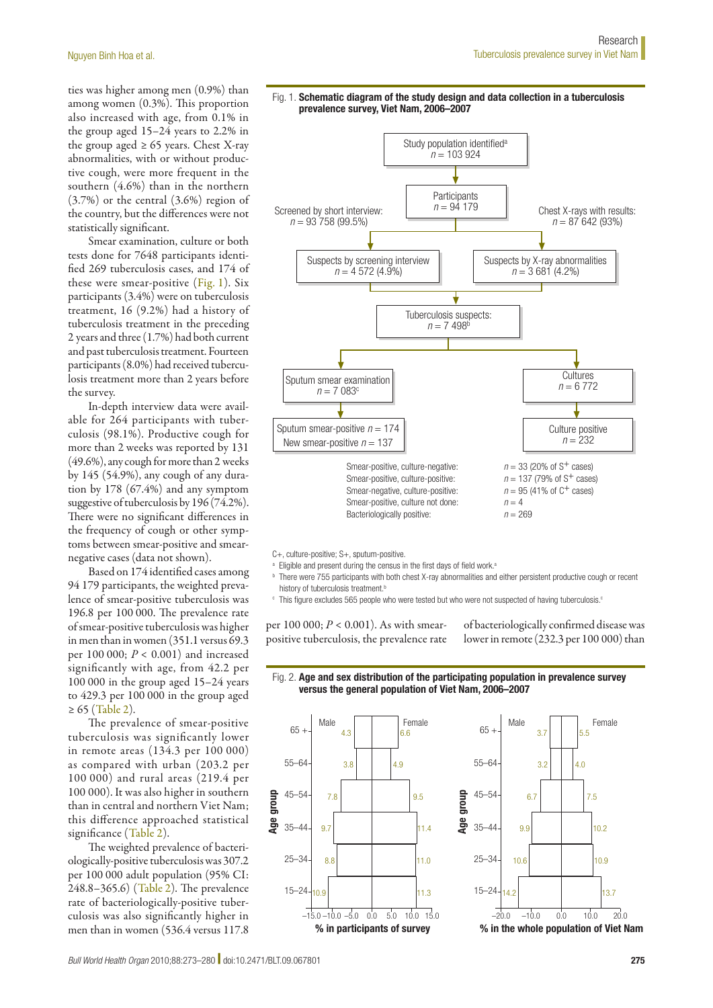ties was higher among men (0.9%) than among women (0.3%). This proportion also increased with age, from 0.1% in the group aged 15–24 years to 2.2% in the group aged  $\geq 65$  years. Chest X-ray abnormalities, with or without productive cough, were more frequent in the southern (4.6%) than in the northern (3.7%) or the central (3.6%) region of the country, but the differences were not statistically significant.

Smear examination, culture or both tests done for 7648 participants identified 269 tuberculosis cases, and 174 of these were smear-positive (Fig. 1). Six participants (3.4%) were on tuberculosis treatment, 16 (9.2%) had a history of tuberculosis treatment in the preceding 2 years and three (1.7%) had both current and past tuberculosis treatment. Fourteen participants (8.0%) had received tuberculosis treatment more than 2 years before the survey.

In-depth interview data were available for 264 participants with tuberculosis (98.1%). Productive cough for more than 2 weeks was reported by 131 (49.6%), any cough for more than 2 weeks by 145 (54.9%), any cough of any duration by 178 (67.4%) and any symptom suggestive of tuberculosis by 196 (74.2%). There were no significant differences in the frequency of cough or other symptoms between smear-positive and smearnegative cases (data not shown).

Based on 174 identified cases among 94 179 participants, the weighted prevalence of smear-positive tuberculosis was 196.8 per 100 000. The prevalence rate of smear-positive tuberculosis was higher in men than in women (351.1 versus 69.3 per 100 000; *P* < 0.001) and increased significantly with age, from 42.2 per 100 000 in the group aged 15–24 years to 429.3 per 100 000 in the group aged ≥ 65 (Table 2).

The prevalence of smear-positive tuberculosis was significantly lower in remote areas (134.3 per 100 000) as compared with urban (203.2 per 100 000) and rural areas (219.4 per 100 000). It was also higher in southern than in central and northern Viet Nam; this difference approached statistical significance (Table 2).

The weighted prevalence of bacteriologically-positive tuberculosis was 307.2 per 100 000 adult population (95% CI: 248.8–365.6) (Table 2). The prevalence rate of bacteriologically-positive tuberculosis was also significantly higher in men than in women (536.4 versus 117.8





C+, culture-positive; S+, sputum-positive.

- <sup>a</sup> Eligible and present during the census in the first days of field work.<sup>a</sup>
- <sup>b</sup> There were 755 participants with both chest X-ray abnormalities and either persistent productive cough or recent history of tuberculosis treatment.<sup>b</sup>
- c This figure excludes 565 people who were tested but who were not suspected of having tuberculosis.<sup>c</sup>

per 100 000; *P* < 0.001). As with smearpositive tuberculosis, the prevalence rate of bacteriologically confirmed disease was lower in remote (232.3 per 100 000) than





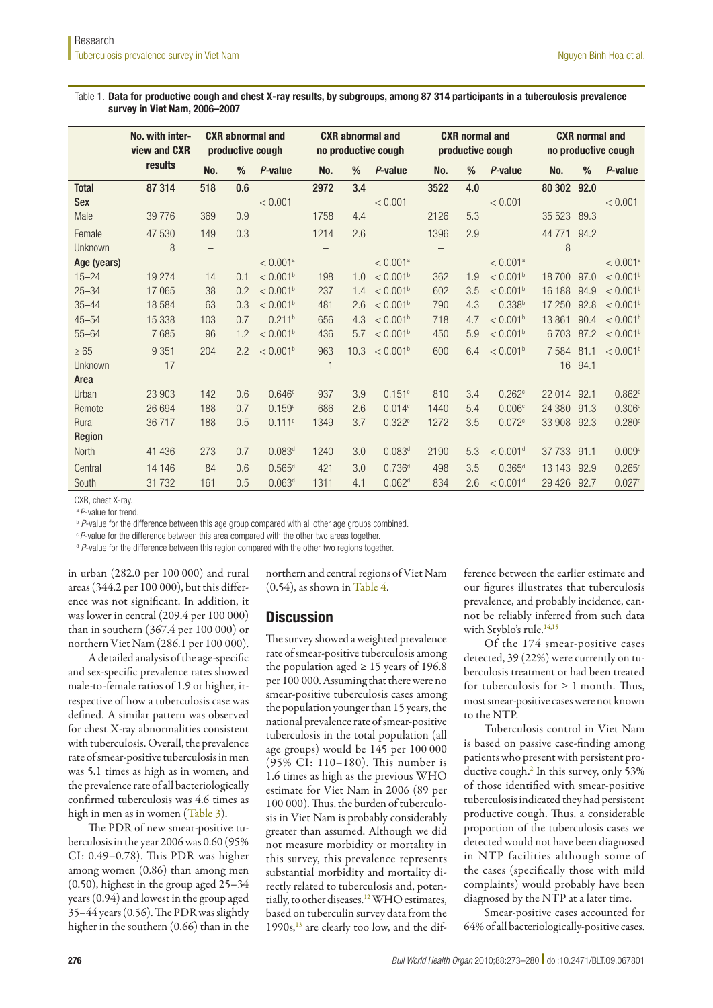#### Table 1. Data for productive cough and chest X-ray results, by subgroups, among 87 314 participants in a tuberculosis prevalence survey in Viet Nam, 2006–2007

|              | No. with inter-<br>view and CXR<br>results | <b>CXR</b> abnormal and<br>productive cough |     | <b>CXR</b> abnormal and<br>no productive cough |              | <b>CXR</b> normal and<br>productive cough |                        | <b>CXR</b> normal and<br>no productive cough |     |                        |             |      |                      |
|--------------|--------------------------------------------|---------------------------------------------|-----|------------------------------------------------|--------------|-------------------------------------------|------------------------|----------------------------------------------|-----|------------------------|-------------|------|----------------------|
|              |                                            | No.                                         | %   | P-value                                        | No.          | %                                         | P-value                | No.                                          | %   | $P$ -value             | No.         | %    | $P$ -value           |
| <b>Total</b> | 87 314                                     | 518                                         | 0.6 |                                                | 2972         | 3.4                                       |                        | 3522                                         | 4.0 |                        | 80 302 92.0 |      |                      |
| <b>Sex</b>   |                                            |                                             |     | < 0.001                                        |              |                                           | < 0.001                |                                              |     | < 0.001                |             |      | < 0.001              |
| Male         | 39 7 7 6                                   | 369                                         | 0.9 |                                                | 1758         | 4.4                                       |                        | 2126                                         | 5.3 |                        | 35 5 23     | 89.3 |                      |
| Female       | 47 530                                     | 149                                         | 0.3 |                                                | 1214         | 2.6                                       |                        | 1396                                         | 2.9 |                        | 44 771      | 94.2 |                      |
| Unknown      | 8                                          | $\qquad \qquad -$                           |     |                                                |              |                                           |                        |                                              |     |                        | 8           |      |                      |
| Age (years)  |                                            |                                             |     | $< 0.001$ <sup>a</sup>                         |              |                                           | $< 0.001$ <sup>a</sup> |                                              |     | $< 0.001$ <sup>a</sup> |             |      | < 0.001 <sup>a</sup> |
| $15 - 24$    | 19 274                                     | 14                                          | 0.1 | < 0.001 <sup>b</sup>                           | 198          | 1.0                                       | < 0.001 <sup>b</sup>   | 362                                          | 1.9 | < 0.001 <sup>b</sup>   | 18 700      | 97.0 | < 0.001 <sup>b</sup> |
| $25 - 34$    | 17 065                                     | 38                                          | 0.2 | < 0.001 <sup>b</sup>                           | 237          | 1.4                                       | < 0.001 <sup>b</sup>   | 602                                          | 3.5 | < 0.001 <sup>b</sup>   | 16 188      | 94.9 | < 0.001 <sup>b</sup> |
| $35 - 44$    | 18 5 84                                    | 63                                          | 0.3 | < 0.001 <sup>b</sup>                           | 481          | 2.6                                       | < 0.001 <sup>b</sup>   | 790                                          | 4.3 | 0.338 <sup>b</sup>     | 17 250      | 92.8 | < 0.001 <sup>b</sup> |
| $45 - 54$    | 15 3 38                                    | 103                                         | 0.7 | 0.211 <sup>b</sup>                             | 656          | 4.3                                       | < 0.001 <sup>b</sup>   | 718                                          | 4.7 | < 0.001 <sup>b</sup>   | 13 861      | 90.4 | < 0.001 <sup>b</sup> |
| $55 - 64$    | 7685                                       | 96                                          | 1.2 | < 0.001 <sup>b</sup>                           | 436          | 5.7                                       | < 0.001 <sup>b</sup>   | 450                                          | 5.9 | < 0.001 <sup>b</sup>   | 6703        | 87.2 | < 0.001 <sup>b</sup> |
| $\geq 65$    | 9 3 5 1                                    | 204                                         | 2.2 | < 0.001 <sup>b</sup>                           | 963          | 10.3                                      | < 0.001 <sup>b</sup>   | 600                                          | 6.4 | < 0.001 <sup>b</sup>   | 7 5 8 4     | 81.1 | < 0.001 <sup>b</sup> |
| Unknown      | 17                                         | $\overline{\phantom{0}}$                    |     |                                                | $\mathbf{1}$ |                                           |                        |                                              |     |                        | 16          | 94.1 |                      |
| Area         |                                            |                                             |     |                                                |              |                                           |                        |                                              |     |                        |             |      |                      |
| Urban        | 23 903                                     | 142                                         | 0.6 | 0.646c                                         | 937          | 3.9                                       | 0.151c                 | 810                                          | 3.4 | 0.262c                 | 22 014      | 92.1 | 0.862c               |
| Remote       | 26 694                                     | 188                                         | 0.7 | 0.159c                                         | 686          | 2.6                                       | 0.014c                 | 1440                                         | 5.4 | 0.006c                 | 24 380      | 91.3 | 0.306c               |
| Rural        | 36717                                      | 188                                         | 0.5 | 0.111c                                         | 1349         | 3.7                                       | 0.322c                 | 1272                                         | 3.5 | 0.072c                 | 33 908      | 92.3 | 0.280c               |
| Region       |                                            |                                             |     |                                                |              |                                           |                        |                                              |     |                        |             |      |                      |
| North        | 41 436                                     | 273                                         | 0.7 | 0.083 <sup>d</sup>                             | 1240         | 3.0                                       | 0.083 <sup>d</sup>     | 2190                                         | 5.3 | $< 0.001$ <sup>d</sup> | 37 733      | 91.1 | 0.009 <sup>d</sup>   |
| Central      | 14 14 6                                    | 84                                          | 0.6 | $0.565$ <sup>d</sup>                           | 421          | 3.0                                       | 0.736 <sup>d</sup>     | 498                                          | 3.5 | $0.365$ <sup>d</sup>   | 13 143      | 92.9 | 0.265 <sup>d</sup>   |
| South        | 31 7 32                                    | 161                                         | 0.5 | 0.063 <sup>d</sup>                             | 1311         | 4.1                                       | 0.062 <sup>d</sup>     | 834                                          | 2.6 | $< 0.001$ <sup>d</sup> | 29 4 26     | 92.7 | 0.027 <sup>d</sup>   |

CXR, chest X-ray.

<sup>a</sup>*P*-value for trend.

<sup>b</sup> *P*-value for the difference between this age group compared with all other age groups combined.

<sup>c</sup> P-value for the difference between this area compared with the other two areas together.

<sup>d</sup> P-value for the difference between this region compared with the other two regions together.

in urban (282.0 per 100 000) and rural areas (344.2 per 100 000), but this difference was not significant. In addition, it was lower in central (209.4 per 100 000) than in southern (367.4 per 100 000) or northern Viet Nam (286.1 per 100 000).

A detailed analysis of the age-specific and sex-specific prevalence rates showed male-to-female ratios of 1.9 or higher, irrespective of how a tuberculosis case was defined. A similar pattern was observed for chest X-ray abnormalities consistent with tuberculosis. Overall, the prevalence rate of smear-positive tuberculosis in men was 5.1 times as high as in women, and the prevalence rate of all bacteriologically confirmed tuberculosis was 4.6 times as high in men as in women (Table 3).

The PDR of new smear-positive tuberculosis in the year 2006 was 0.60 (95% CI: 0.49–0.78). This PDR was higher among women (0.86) than among men (0.50), highest in the group aged 25–34 years (0.94) and lowest in the group aged 35–44 years (0.56). The PDR was slightly higher in the southern (0.66) than in the

northern and central regions of Viet Nam (0.54), as shown in Table 4.

# **Discussion**

The survey showed a weighted prevalence rate of smear-positive tuberculosis among the population aged  $\geq 15$  years of 196.8 per 100 000. Assuming that there were no smear-positive tuberculosis cases among the population younger than 15 years, the national prevalence rate of smear-positive tuberculosis in the total population (all age groups) would be 145 per 100 000 (95% CI: 110–180). This number is 1.6 times as high as the previous WHO estimate for Viet Nam in 2006 (89 per 100 000). Thus, the burden of tuberculosis in Viet Nam is probably considerably greater than assumed. Although we did not measure morbidity or mortality in this survey, this prevalence represents substantial morbidity and mortality directly related to tuberculosis and, potentially, to other diseases.<sup>12</sup> WHO estimates, based on tuberculin survey data from the 1990s,<sup>13</sup> are clearly too low, and the difference between the earlier estimate and our figures illustrates that tuberculosis prevalence, and probably incidence, cannot be reliably inferred from such data with Styblo's rule.<sup>14,15</sup>

Of the 174 smear-positive cases detected, 39 (22%) were currently on tuberculosis treatment or had been treated for tuberculosis for  $\geq 1$  month. Thus, most smear-positive cases were not known to the NTP.

Tuberculosis control in Viet Nam is based on passive case-finding among patients who present with persistent productive cough.<sup>2</sup> In this survey, only 53% of those identified with smear-positive tuberculosis indicated they had persistent productive cough. Thus, a considerable proportion of the tuberculosis cases we detected would not have been diagnosed in NTP facilities although some of the cases (specifically those with mild complaints) would probably have been diagnosed by the NTP at a later time.

Smear-positive cases accounted for 64% of all bacteriologically-positive cases.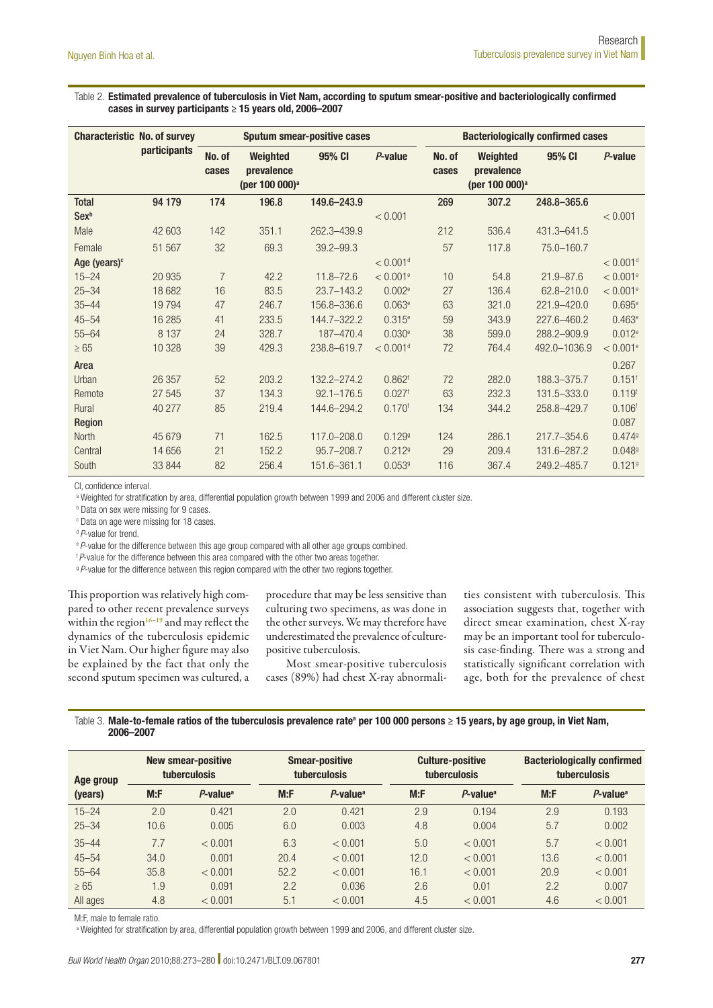Table 2. Estimated prevalence of tuberculosis in Viet Nam, according to sputum smear-positive and bacteriologically confirmed cases in survey participants ≥ 15 years old, 2006–2007

| <b>Characteristic No. of survey</b> |              |                 |                                                      | <b>Sputum smear-positive cases</b> |                        | <b>Bacteriologically confirmed cases</b> |                                                      |                 |                        |
|-------------------------------------|--------------|-----------------|------------------------------------------------------|------------------------------------|------------------------|------------------------------------------|------------------------------------------------------|-----------------|------------------------|
|                                     | participants | No. of<br>cases | Weighted<br>prevalence<br>(per 100 000) <sup>a</sup> | 95% CI                             | P-value                | No. of<br>cases                          | Weighted<br>prevalence<br>(per 100 000) <sup>a</sup> | 95% CI          | P-value                |
| <b>Total</b>                        | 94 179       | 174             | 196.8                                                | 149.6-243.9                        |                        | 269                                      | 307.2                                                | 248.8-365.6     |                        |
| Sex <sup>b</sup>                    |              |                 |                                                      |                                    | < 0.001                |                                          |                                                      |                 | < 0.001                |
| Male                                | 42 603       | 142             | 351.1                                                | 262.3-439.9                        |                        | 212                                      | 536.4                                                | 431.3-641.5     |                        |
| Female                              | 51 567       | 32              | 69.3                                                 | $39.2 - 99.3$                      |                        | 57                                       | 117.8                                                | 75.0-160.7      |                        |
| Age (years) <sup>c</sup>            |              |                 |                                                      |                                    | $< 0.001$ <sup>d</sup> |                                          |                                                      |                 | $< 0.001$ <sup>d</sup> |
| $15 - 24$                           | 20 935       | $\overline{7}$  | 42.2                                                 | $11.8 - 72.6$                      | $< 0.001$ <sup>e</sup> | 10                                       | 54.8                                                 | $21.9 - 87.6$   | < 0.001e               |
| $25 - 34$                           | 18 682       | 16              | 83.5                                                 | $23.7 - 143.2$                     | 0.002e                 | 27                                       | 136.4                                                | $62.8 - 210.0$  | < 0.001e               |
| $35 - 44$                           | 19794        | 47              | 246.7                                                | 156.8-336.6                        | 0.063e                 | 63                                       | 321.0                                                | $221.9 - 420.0$ | 0.695e                 |
| $45 - 54$                           | 16 28 5      | 41              | 233.5                                                | 144.7-322.2                        | $0.315^e$              | 59                                       | 343.9                                                | 227.6-460.2     | $0.463^e$              |
| $55 - 64$                           | 8 1 3 7      | 24              | 328.7                                                | 187-470.4                          | 0.030e                 | 38                                       | 599.0                                                | 288.2-909.9     | 0.012e                 |
| $\geq 65$                           | 10 328       | 39              | 429.3                                                | 238.8-619.7                        | $< 0.001$ <sup>d</sup> | 72                                       | 764.4                                                | 492.0-1036.9    | < 0.001e               |
| Area                                |              |                 |                                                      |                                    |                        |                                          |                                                      |                 | 0.267                  |
| Urban                               | 26 357       | 52              | 203.2                                                | 132.2-274.2                        | $0.862$ <sup>f</sup>   | 72                                       | 282.0                                                | 188.3-375.7     | $0.151$ <sup>f</sup>   |
| Remote                              | 27 545       | 37              | 134.3                                                | $92.1 - 176.5$                     | 0.027 <sup>6</sup>     | 63                                       | 232.3                                                | 131.5-333.0     | 0.119 <sup>f</sup>     |
| Rural                               | 40 277       | 85              | 219.4                                                | 144.6-294.2                        | 0.170 <sup>f</sup>     | 134                                      | 344.2                                                | 258.8-429.7     | 0.106 <sup>f</sup>     |
| Region                              |              |                 |                                                      |                                    |                        |                                          |                                                      |                 | 0.087                  |
| <b>North</b>                        | 45 679       | 71              | 162.5                                                | $117.0 - 208.0$                    | 0.1299                 | 124                                      | 286.1                                                | $217.7 - 354.6$ | 0.4749                 |
| Central                             | 14 6 5 6     | 21              | 152.2                                                | 95.7-208.7                         | 0.2129                 | 29                                       | 209.4                                                | 131.6-287.2     | 0.0489                 |
| South                               | 33 844       | 82              | 256.4                                                | 151.6-361.1                        | 0.0539                 | 116                                      | 367.4                                                | 249.2-485.7     | 0.1219                 |

CI, confidence interval.

a Weighted for stratification by area, differential population growth between 1999 and 2006 and different cluster size.

**b** Data on sex were missing for 9 cases.

c Data on age were missing for 18 cases.

<sup>d</sup> P-value for trend.

<sup>e</sup> P-value for the difference between this age group compared with all other age groups combined.

<sup>f</sup>*P*-value for the difference between this area compared with the other two areas together.

<sup>9</sup> P-value for the difference between this region compared with the other two regions together.

This proportion was relatively high compared to other recent prevalence surveys within the region $16-19$  and may reflect the dynamics of the tuberculosis epidemic in Viet Nam. Our higher figure may also be explained by the fact that only the second sputum specimen was cultured, a

procedure that may be less sensitive than culturing two specimens, as was done in the other surveys. We may therefore have underestimated the prevalence of culturepositive tuberculosis.

Most smear-positive tuberculosis cases (89%) had chest X-ray abnormalities consistent with tuberculosis. This association suggests that, together with direct smear examination, chest X-ray may be an important tool for tuberculosis case-finding. There was a strong and statistically significant correlation with age, both for the prevalence of chest

Table 3. Male-to-female ratios of the tuberculosis prevalence rateª per 100 000 persons ≥ 15 years, by age group, in Viet Nam, 2006–2007

| Age group |      | <b>New smear-positive</b><br>tuberculosis | <b>Smear-positive</b><br>tuberculosis |                         |      | <b>Culture-positive</b><br><b>tuberculosis</b> | <b>Bacteriologically confirmed</b><br><b>tuberculosis</b> |                         |  |
|-----------|------|-------------------------------------------|---------------------------------------|-------------------------|------|------------------------------------------------|-----------------------------------------------------------|-------------------------|--|
| (years)   | M: F | $P$ -value <sup>a</sup>                   | M: F                                  | $P$ -value <sup>a</sup> | M: F | $P$ -value <sup>a</sup>                        | M: F                                                      | $P$ -value <sup>a</sup> |  |
| $15 - 24$ | 2.0  | 0.421                                     | 2.0                                   | 0.421                   | 2.9  | 0.194                                          | 2.9                                                       | 0.193                   |  |
| $25 - 34$ | 10.6 | 0.005                                     | 6.0                                   | 0.003                   | 4.8  | 0.004                                          | 5.7                                                       | 0.002                   |  |
| $35 - 44$ | 7.7  | < 0.001                                   | 6.3                                   | < 0.001                 | 5.0  | < 0.001                                        | 5.7                                                       | < 0.001                 |  |
| $45 - 54$ | 34.0 | 0.001                                     | 20.4                                  | < 0.001                 | 12.0 | < 0.001                                        | 13.6                                                      | < 0.001                 |  |
| $55 - 64$ | 35.8 | < 0.001                                   | 52.2                                  | < 0.001                 | 16.1 | < 0.001                                        | 20.9                                                      | < 0.001                 |  |
| $\geq 65$ | 1.9  | 0.091                                     | 2.2                                   | 0.036                   | 2.6  | 0.01                                           | 2.2                                                       | 0.007                   |  |
| All ages  | 4.8  | < 0.001                                   | 5.1                                   | < 0.001                 | 4.5  | < 0.001                                        | 4.6                                                       | < 0.001                 |  |

M:F, male to female ratio.

a Weighted for stratification by area, differential population growth between 1999 and 2006, and different cluster size.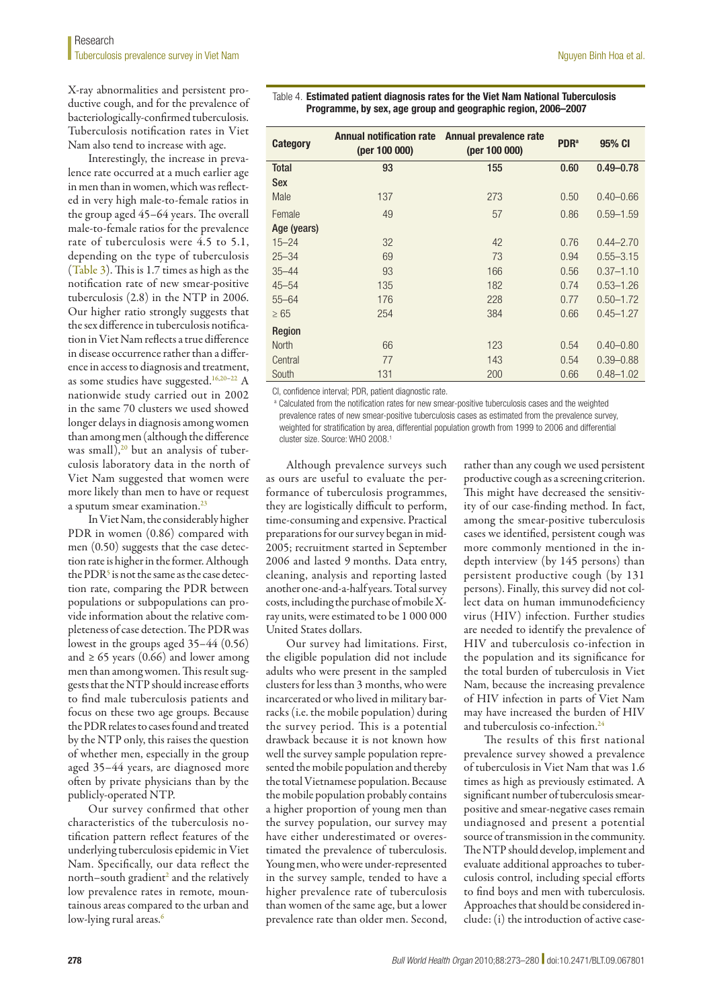X-ray abnormalities and persistent productive cough, and for the prevalence of bacteriologically-confirmed tuberculosis. Tuberculosis notification rates in Viet Nam also tend to increase with age.

Interestingly, the increase in prevalence rate occurred at a much earlier age in men than in women, which was reflected in very high male-to-female ratios in the group aged 45–64 years. The overall male-to-female ratios for the prevalence rate of tuberculosis were 4.5 to 5.1, depending on the type of tuberculosis (Table 3). This is 1.7 times as high as the notification rate of new smear-positive tuberculosis (2.8) in the NTP in 2006. Our higher ratio strongly suggests that the sex difference in tuberculosis notification in Viet Nam reflects a true difference in disease occurrence rather than a difference in access to diagnosis and treatment, as some studies have suggested.16,20–22 A nationwide study carried out in 2002 in the same 70 clusters we used showed longer delays in diagnosis among women than among men (although the difference was small),<sup>20</sup> but an analysis of tuberculosis laboratory data in the north of Viet Nam suggested that women were more likely than men to have or request a sputum smear examination. $23$ 

In Viet Nam, the considerably higher PDR in women (0.86) compared with men (0.50) suggests that the case detection rate is higher in the former. Although the  $\mathrm{PDR^5}$  is not the same as the case detection rate, comparing the PDR between populations or subpopulations can provide information about the relative completeness of case detection. The PDR was lowest in the groups aged 35–44 (0.56) and  $\geq 65$  years (0.66) and lower among men than among women. This result suggests that the NTP should increase efforts to find male tuberculosis patients and focus on these two age groups. Because the PDR relates to cases found and treated by the NTP only, this raises the question of whether men, especially in the group aged 35–44 years, are diagnosed more often by private physicians than by the publicly-operated NTP.

Our survey confirmed that other characteristics of the tuberculosis notification pattern reflect features of the underlying tuberculosis epidemic in Viet Nam. Specifically, our data reflect the north–south gradient<sup>2</sup> and the relatively low prevalence rates in remote, mountainous areas compared to the urban and low-lying rural areas.<sup>6</sup>

Table 4. Estimated patient diagnosis rates for the Viet Nam National Tuberculosis Programme, by sex, age group and geographic region, 2006–2007

| Category      | <b>Annual notification rate</b><br>(per 100 000) | Annual prevalence rate<br>(per 100 000) | <b>PDR</b> <sup>a</sup> | 95% CI        |
|---------------|--------------------------------------------------|-----------------------------------------|-------------------------|---------------|
| <b>Total</b>  | 93                                               | 155                                     | 0.60                    | $0.49 - 0.78$ |
| <b>Sex</b>    |                                                  |                                         |                         |               |
| Male          | 137                                              | 273                                     | 0.50                    | $0.40 - 0.66$ |
| Female        | 49                                               | 57                                      | 0.86                    | $0.59 - 1.59$ |
| Age (years)   |                                                  |                                         |                         |               |
| $15 - 24$     | 32                                               | 42                                      | 0.76                    | $0.44 - 2.70$ |
| $25 - 34$     | 69                                               | 73                                      | 0.94                    | $0.55 - 3.15$ |
| $35 - 44$     | 93                                               | 166                                     | 0.56                    | $0.37 - 1.10$ |
| $45 - 54$     | 135                                              | 182                                     | 0.74                    | $0.53 - 1.26$ |
| $55 - 64$     | 176                                              | 228                                     | 0.77                    | $0.50 - 1.72$ |
| $\geq 65$     | 254                                              | 384                                     | 0.66                    | $0.45 - 1.27$ |
| <b>Region</b> |                                                  |                                         |                         |               |
| <b>North</b>  | 66                                               | 123                                     | 0.54                    | $0.40 - 0.80$ |
| Central       | 77                                               | 143                                     | 0.54                    | $0.39 - 0.88$ |
| South         | 131                                              | 200                                     | 0.66                    | $0.48 - 1.02$ |

CI, confidence interval; PDR, patient diagnostic rate.

<sup>a</sup> Calculated from the notification rates for new smear-positive tuberculosis cases and the weighted prevalence rates of new smear-positive tuberculosis cases as estimated from the prevalence survey, weighted for stratification by area, differential population growth from 1999 to 2006 and differential cluster size. Source: WHO 2008.<sup>1</sup>

Although prevalence surveys such as ours are useful to evaluate the performance of tuberculosis programmes, they are logistically difficult to perform, time-consuming and expensive. Practical preparations for our survey began in mid-2005; recruitment started in September 2006 and lasted 9 months. Data entry, cleaning, analysis and reporting lasted another one-and-a-half years. Total survey costs, including the purchase of mobile Xray units, were estimated to be 1 000 000 United States dollars.

Our survey had limitations. First, the eligible population did not include adults who were present in the sampled clusters for less than 3 months, who were incarcerated or who lived in military barracks (i.e. the mobile population) during the survey period. This is a potential drawback because it is not known how well the survey sample population represented the mobile population and thereby the total Vietnamese population. Because the mobile population probably contains a higher proportion of young men than the survey population, our survey may have either underestimated or overestimated the prevalence of tuberculosis. Young men, who were under-represented in the survey sample, tended to have a higher prevalence rate of tuberculosis than women of the same age, but a lower prevalence rate than older men. Second,

rather than any cough we used persistent productive cough as a screening criterion. This might have decreased the sensitivity of our case-finding method. In fact, among the smear-positive tuberculosis cases we identified, persistent cough was more commonly mentioned in the indepth interview (by 145 persons) than persistent productive cough (by 131 persons). Finally, this survey did not collect data on human immunodeficiency virus (HIV) infection. Further studies are needed to identify the prevalence of HIV and tuberculosis co-infection in the population and its significance for the total burden of tuberculosis in Viet Nam, because the increasing prevalence of HIV infection in parts of Viet Nam may have increased the burden of HIV and tuberculosis co-infection.<sup>24</sup>

The results of this first national prevalence survey showed a prevalence of tuberculosis in Viet Nam that was 1.6 times as high as previously estimated. A significant number of tuberculosis smearpositive and smear-negative cases remain undiagnosed and present a potential source of transmission in the community. The NTP should develop, implement and evaluate additional approaches to tuberculosis control, including special efforts to find boys and men with tuberculosis. Approaches that should be considered include: (i) the introduction of active case-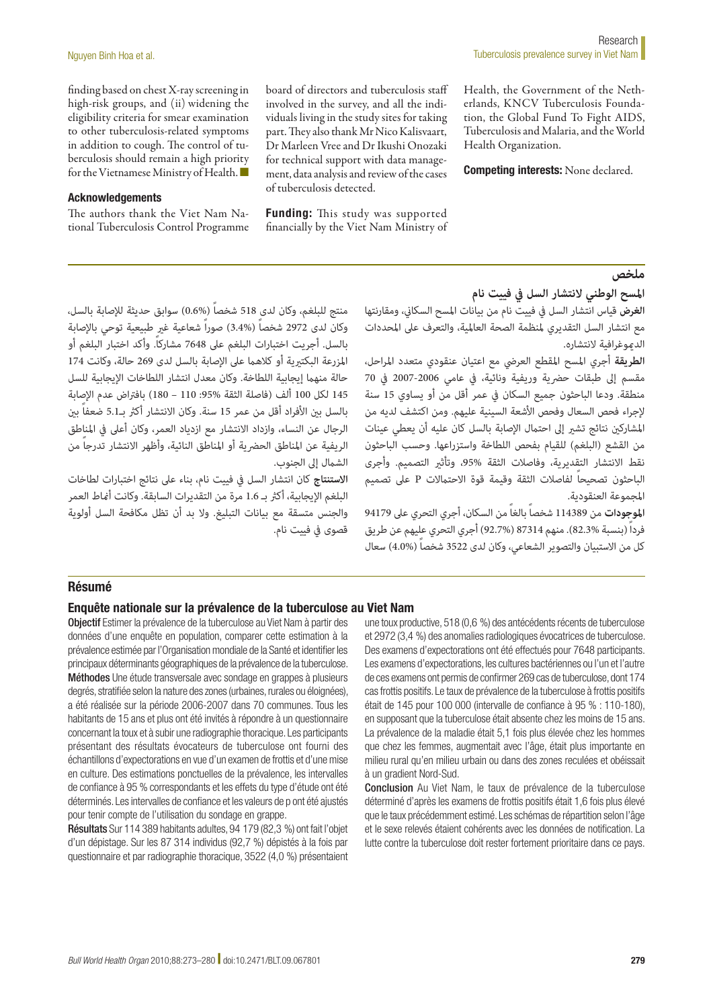finding based on chest X-ray screening in high-risk groups, and (ii) widening the eligibility criteria for smear examination to other tuberculosis-related symptoms in addition to cough. The control of tuberculosis should remain a high priority for the Vietnamese Ministry of Health. ■

#### Acknowledgements

The authors thank the Viet Nam National Tuberculosis Control Programme Health, the Government of the Netherlands, KNCV Tuberculosis Foundation, the Global Fund To Fight AIDS, Tuberculosis and Malaria, and the World Health Organization.

Competing interests: None declared.

#### **ملخص**

# منتج للبلغم، وكان لدى 518 شخصاً )0.6%( سوابق حديثة لإلصابة بالسل، وكان لدى 2972 شخصاً (%3.4) صوراً شعاعية غير طبيعية توحي بالإصابة بالسل. أجريت اختبارات البلغم عىل 7648 مشاركا.ً وأكد اختبار البلغم أو املزرعة البكتريية أو كالهام عىل اإلصابة بالسل لدى 269 حالة، وكانت 174 حالة منهما إيجابية اللطاخة. وكان معدل انتشار اللطاخات الإيجابية للسل 145 لكل 100 ألف )فاصلة الثقة :95% 110 – 180( بافرتاض عدم اإلصابة بالسل بين الأفراد أقل من عمر 15 سنة. وكان الانتشار أكثر بـ5.1 ضعفاً بين الرجال عن النساء، وازداد االنتشار مع ازدياد العمر، وكان أعىل يف املناطق الريفية عن المناطق الحضرية أو المناطق النائية، وأظهر الانتشار تدرجاً من الشمال إلى الجنوب.

**االستنتاج** كان انتشار السل يف فييت نام، بناء عىل نتائج اختبارات لطاخات البلغم الإيجابية، أكثر بـ 1.6 مرة من التقديرات السابقة. وكانت أماط العمر والجنس متسقة مع بيانات التبليغ. وال بد أن تظل مكافحة السل أولوية قصوى في فييت نام. **املسح الوطني النتشار السل يف فييت نام**

**الغرض** قياس انتشار السل يف فييت نام من بيانات املسح السكاين، ومقارنتها مع انتشار السل التقديري ملنظمة الصحة العاملية، والتعرف عىل املحددات الدموغرافية لانتشاره.

board of directors and tuberculosis staff involved in the survey, and all the individuals living in the study sites for taking part. They also thank Mr Nico Kalisvaart, Dr Marleen Vree and Dr Ikushi Onozaki for technical support with data management, data analysis and review of the cases

Funding: This study was supported financially by the Viet Nam Ministry of

of tuberculosis detected.

**الطريقة** أجري املسح املقطع العريض مع اعتيان عنقودي متعدد املراحل، مقسم إلى طبقات حضرية وريفية ونائية، في عامي 2006-2007 في 70 منطقة. ودعا الباحثون جميع السكان يف عمر أقل من أو يساوي 15 سنة إلجراء فحص السعال وفحص األشعة السينية عليهم. ومن اكتشف لديه من المشاركين نتائج تشير إلى احتمال الإصابة بالسل كان عليه أن يعطي عينات من القشع (البلغم) للقيام بفحص اللطاخة واستزراعها. وحسب الباحثون نقط االنتشار التقديرية، وفاصالت الثقة ،95% وتأثري التصميم. وأجرى الباحثون تصحيحاً لفاصالت الثقة وقيمة قوة االحتامالت P عىل تصميم املجموعة العنقودية.

**املوجودات** من 114389 شخصاً بالغاً من السكان، أجري التحري عىل 94179 فرداً )بنسبة 82.3%(. منهم 87314 )92.7%( أجري التحري عليهم عن طريق كل من الاستبيان والتصوير الشعاعي، وكان لدى 3522 شخصاً (4.0%) سعال

#### Résumé

#### Enquête nationale sur la prévalence de la tuberculose au Viet Nam

Objectif Estimer la prévalence de la tuberculose au Viet Nam à partir des données d'une enquête en population, comparer cette estimation à la prévalence estimée par l'Organisation mondiale de la Santé et identifier les principaux déterminants géographiques de la prévalence de la tuberculose. Méthodes Une étude transversale avec sondage en grappes à plusieurs degrés, stratifiée selon la nature des zones (urbaines, rurales ou éloignées), a été réalisée sur la période 2006-2007 dans 70 communes. Tous les habitants de 15 ans et plus ont été invités à répondre à un questionnaire concernant la toux et à subir une radiographie thoracique. Les participants présentant des résultats évocateurs de tuberculose ont fourni des échantillons d'expectorations en vue d'un examen de frottis et d'une mise en culture. Des estimations ponctuelles de la prévalence, les intervalles de confiance à 95 % correspondants et les effets du type d'étude ont été déterminés. Les intervalles de confiance et les valeurs de p ont été ajustés pour tenir compte de l'utilisation du sondage en grappe.

Résultats Sur 114 389 habitants adultes, 94 179 (82,3 %) ont fait l'objet d'un dépistage. Sur les 87 314 individus (92,7 %) dépistés à la fois par questionnaire et par radiographie thoracique, 3522 (4,0 %) présentaient une toux productive, 518 (0,6 %) des antécédents récents de tuberculose et 2972 (3,4 %) des anomalies radiologiques évocatrices de tuberculose. Des examens d'expectorations ont été effectués pour 7648 participants. Les examens d'expectorations, les cultures bactériennes ou l'un et l'autre de ces examens ont permis de confirmer 269 cas de tuberculose, dont 174 cas frottis positifs. Le taux de prévalence de la tuberculose à frottis positifs était de 145 pour 100 000 (intervalle de confiance à 95 % : 110-180), en supposant que la tuberculose était absente chez les moins de 15 ans. La prévalence de la maladie était 5,1 fois plus élevée chez les hommes que chez les femmes, augmentait avec l'âge, était plus importante en milieu rural qu'en milieu urbain ou dans des zones reculées et obéissait à un gradient Nord-Sud.

Conclusion Au Viet Nam, le taux de prévalence de la tuberculose déterminé d'après les examens de frottis positifs était 1,6 fois plus élevé que le taux précédemment estimé. Les schémas de répartition selon l'âge et le sexe relevés étaient cohérents avec les données de notification. La lutte contre la tuberculose doit rester fortement prioritaire dans ce pays.